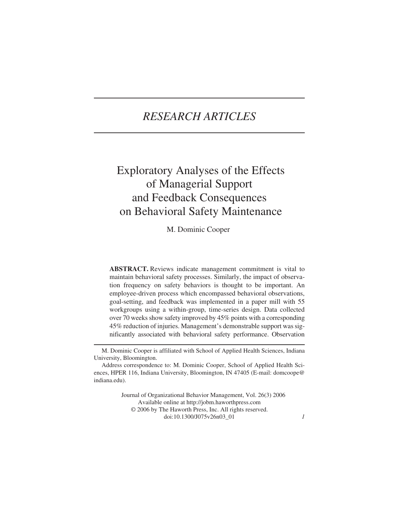# *RESEARCH ARTICLES*

# Exploratory Analyses of the Effects of Managerial Support and Feedback Consequences on Behavioral Safety Maintenance

M. Dominic Cooper

**ABSTRACT.** Reviews indicate management commitment is vital to maintain behavioral safety processes. Similarly, the impact of observation frequency on safety behaviors is thought to be important. An employee-driven process which encompassed behavioral observations, goal-setting, and feedback was implemented in a paper mill with 55 workgroups using a within-group, time-series design. Data collected over 70 weeks show safety improved by 45% points with a corresponding 45% reduction of injuries. Management's demonstrable support was significantly associated with behavioral safety performance. Observation

Journal of Organizational Behavior Management, Vol. 26(3) 2006 Available online at<http://jobm.haworthpress.com> © 2006 by The Haworth Press, Inc. All rights reserved. doi:10.1300/J075v26n03\_01 *1*

M. Dominic Cooper is affiliated with School of Applied Health Sciences, Indiana University, Bloomington.

Address correspondence to: M. Dominic Cooper, School of Applied Health Sciences, HPER 116, Indiana University, Bloomington, IN 47405 (E-mail: domcoope@ indiana.edu).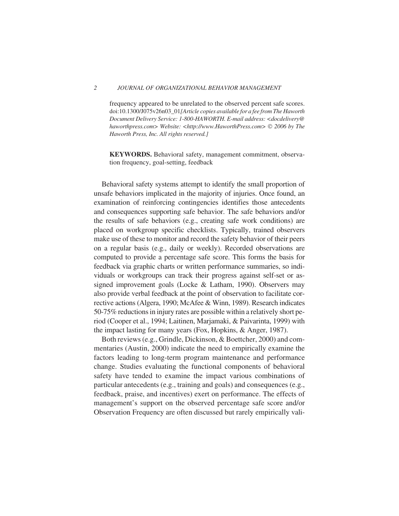frequency appeared to be unrelated to the observed percent safe scores. doi:10.1300/J075v26n03\_01*[Article copies available for a fee from The Haworth Document Delivery Service: 1-800-HAWORTH. E-mail address: <docdelivery@ haworthpress.com> Website: [<http://www.HaworthPress.com>](http://www.HaworthPress.com)* © *2006 by The Haworth Press, Inc. All rights reserved.]*

**KEYWORDS.** Behavioral safety, management commitment, observation frequency, goal-setting, feedback

Behavioral safety systems attempt to identify the small proportion of unsafe behaviors implicated in the majority of injuries. Once found, an examination of reinforcing contingencies identifies those antecedents and consequences supporting safe behavior. The safe behaviors and/or the results of safe behaviors (e.g., creating safe work conditions) are placed on workgroup specific checklists. Typically, trained observers make use of these to monitor and record the safety behavior of their peers on a regular basis (e.g., daily or weekly). Recorded observations are computed to provide a percentage safe score. This forms the basis for feedback via graphic charts or written performance summaries, so individuals or workgroups can track their progress against self-set or assigned improvement goals (Locke & Latham, 1990). Observers may also provide verbal feedback at the point of observation to facilitate corrective actions (Algera, 1990; McAfee & Winn, 1989). Research indicates 50-75% reductions in injury rates are possible within a relatively short period (Cooper et al., 1994; Laitinen, Marjamaki, & Paivarinta, 1999) with the impact lasting for many years (Fox, Hopkins, & Anger, 1987).

Both reviews (e.g., Grindle, Dickinson, & Boettcher, 2000) and commentaries (Austin, 2000) indicate the need to empirically examine the factors leading to long-term program maintenance and performance change. Studies evaluating the functional components of behavioral safety have tended to examine the impact various combinations of particular antecedents (e.g., training and goals) and consequences (e.g., feedback, praise, and incentives) exert on performance. The effects of management's support on the observed percentage safe score and/or Observation Frequency are often discussed but rarely empirically vali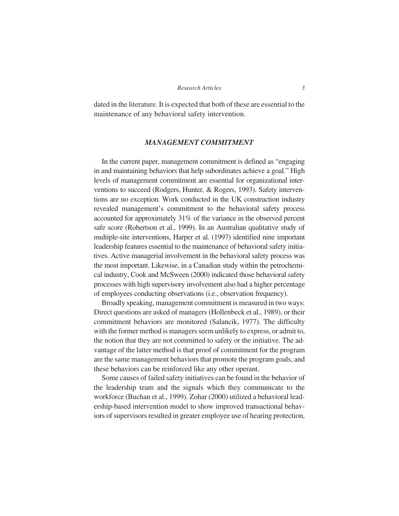dated in the literature. It is expected that both of these are essential to the maintenance of any behavioral safety intervention.

# *MANAGEMENT COMMITMENT*

In the current paper, management commitment is defined as "engaging in and maintaining behaviors that help subordinates achieve a goal." High levels of management commitment are essential for organizational interventions to succeed (Rodgers, Hunter, & Rogers, 1993). Safety interventions are no exception. Work conducted in the UK construction industry revealed management's commitment to the behavioral safety process accounted for approximately 31% of the variance in the observed percent safe score (Robertson et al., 1999). In an Australian qualitative study of multiple-site interventions, Harper et al. (1997) identified nine important leadership features essential to the maintenance of behavioral safety initiatives. Active managerial involvement in the behavioral safety process was the most important. Likewise, in a Canadian study within the petrochemical industry, Cook and McSween (2000) indicated those behavioral safety processes with high supervisory involvement also had a higher percentage of employees conducting observations (i.e., observation frequency).

Broadly speaking, management commitment is measured in two ways: Direct questions are asked of managers (Hollenbeck et al., 1989), or their commitment behaviors are monitored (Salancik, 1977). The difficulty with the former method is managers seem unlikely to express, or admit to, the notion that they are not committed to safety or the initiative. The advantage of the latter method is that proof of commitment for the program are the same management behaviors that promote the program goals, and these behaviors can be reinforced like any other operant.

Some causes of failed safety initiatives can be found in the behavior of the leadership team and the signals which they communicate to the workforce (Buchan et al., 1999). Zohar (2000) utilized a behavioral leadership-based intervention model to show improved transactional behaviors of supervisors resulted in greater employee use of hearing protection,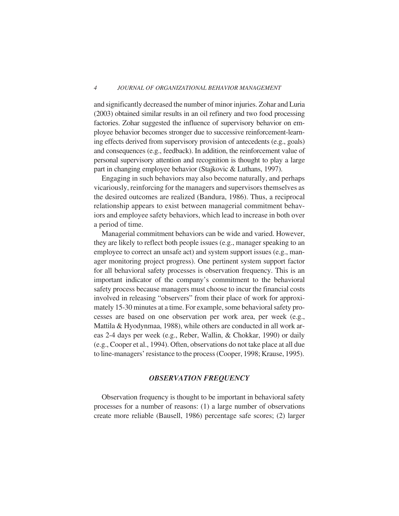and significantly decreased the number of minor injuries. Zohar and Luria (2003) obtained similar results in an oil refinery and two food processing factories. Zohar suggested the influence of supervisory behavior on employee behavior becomes stronger due to successive reinforcement-learning effects derived from supervisory provision of antecedents (e.g., goals) and consequences (e.g., feedback). In addition, the reinforcement value of personal supervisory attention and recognition is thought to play a large part in changing employee behavior (Stajkovic & Luthans, 1997).

Engaging in such behaviors may also become naturally, and perhaps vicariously, reinforcing for the managers and supervisors themselves as the desired outcomes are realized (Bandura, 1986). Thus, a reciprocal relationship appears to exist between managerial commitment behaviors and employee safety behaviors, which lead to increase in both over a period of time.

Managerial commitment behaviors can be wide and varied. However, they are likely to reflect both people issues (e.g., manager speaking to an employee to correct an unsafe act) and system support issues (e.g., manager monitoring project progress). One pertinent system support factor for all behavioral safety processes is observation frequency. This is an important indicator of the company's commitment to the behavioral safety process because managers must choose to incur the financial costs involved in releasing "observers" from their place of work for approximately 15-30 minutes at a time. For example, some behavioral safety processes are based on one observation per work area, per week (e.g., Mattila & Hyodynmaa, 1988), while others are conducted in all work areas 2-4 days per week (e.g., Reber, Wallin, & Chokkar, 1990) or daily (e.g., Cooper et al., 1994). Often, observations do not take place at all due to line-managers' resistance to the process (Cooper, 1998; Krause, 1995).

# *OBSERVATION FREQUENCY*

Observation frequency is thought to be important in behavioral safety processes for a number of reasons: (1) a large number of observations create more reliable (Bausell, 1986) percentage safe scores; (2) larger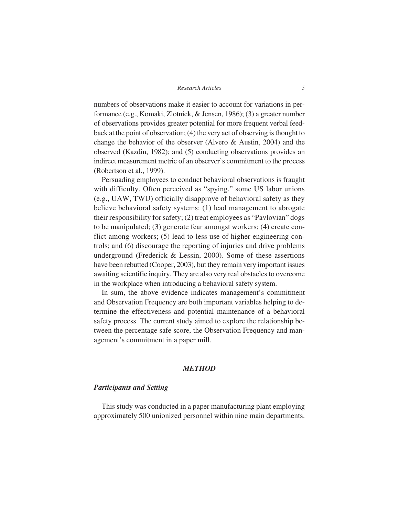numbers of observations make it easier to account for variations in performance (e.g., Komaki, Zlotnick, & Jensen, 1986); (3) a greater number of observations provides greater potential for more frequent verbal feedback at the point of observation; (4) the very act of observing is thought to change the behavior of the observer (Alvero & Austin, 2004) and the observed (Kazdin, 1982); and (5) conducting observations provides an indirect measurement metric of an observer's commitment to the process (Robertson et al., 1999).

Persuading employees to conduct behavioral observations is fraught with difficulty. Often perceived as "spying," some US labor unions (e.g., UAW, TWU) officially disapprove of behavioral safety as they believe behavioral safety systems: (1) lead management to abrogate their responsibility for safety; (2) treat employees as "Pavlovian" dogs to be manipulated; (3) generate fear amongst workers; (4) create conflict among workers; (5) lead to less use of higher engineering controls; and (6) discourage the reporting of injuries and drive problems underground (Frederick & Lessin, 2000). Some of these assertions have been rebutted (Cooper, 2003), but they remain very important issues awaiting scientific inquiry. They are also very real obstacles to overcome in the workplace when introducing a behavioral safety system.

In sum, the above evidence indicates management's commitment and Observation Frequency are both important variables helping to determine the effectiveness and potential maintenance of a behavioral safety process. The current study aimed to explore the relationship between the percentage safe score, the Observation Frequency and management's commitment in a paper mill.

# *METHOD*

# *Participants and Setting*

This study was conducted in a paper manufacturing plant employing approximately 500 unionized personnel within nine main departments.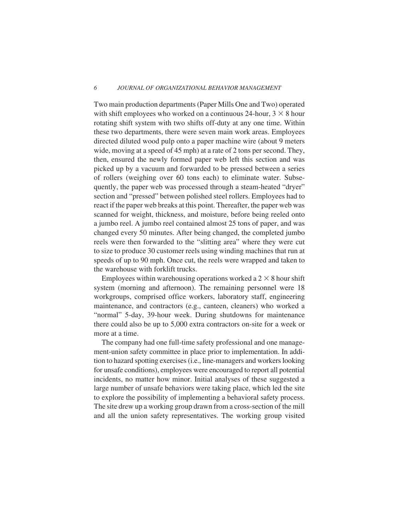Two main production departments (Paper Mills One and Two) operated with shift employees who worked on a continuous 24-hour,  $3 \times 8$  hour rotating shift system with two shifts off-duty at any one time. Within these two departments, there were seven main work areas. Employees directed diluted wood pulp onto a paper machine wire (about 9 meters wide, moving at a speed of 45 mph) at a rate of 2 tons per second. They, then, ensured the newly formed paper web left this section and was picked up by a vacuum and forwarded to be pressed between a series of rollers (weighing over 60 tons each) to eliminate water. Subsequently, the paper web was processed through a steam-heated "dryer" section and "pressed" between polished steel rollers. Employees had to react if the paper web breaks at this point. Thereafter, the paper web was scanned for weight, thickness, and moisture, before being reeled onto a jumbo reel. A jumbo reel contained almost 25 tons of paper, and was changed every 50 minutes. After being changed, the completed jumbo reels were then forwarded to the "slitting area" where they were cut to size to produce 30 customer reels using winding machines that run at speeds of up to 90 mph. Once cut, the reels were wrapped and taken to the warehouse with forklift trucks.

Employees within warehousing operations worked a  $2 \times 8$  hour shift system (morning and afternoon). The remaining personnel were 18 workgroups, comprised office workers, laboratory staff, engineering maintenance, and contractors (e.g., canteen, cleaners) who worked a "normal" 5-day, 39-hour week. During shutdowns for maintenance there could also be up to 5,000 extra contractors on-site for a week or more at a time.

The company had one full-time safety professional and one management-union safety committee in place prior to implementation. In addition to hazard spotting exercises (i.e., line-managers and workers looking for unsafe conditions), employees were encouraged to report all potential incidents, no matter how minor. Initial analyses of these suggested a large number of unsafe behaviors were taking place, which led the site to explore the possibility of implementing a behavioral safety process. The site drew up a working group drawn from a cross-section of the mill and all the union safety representatives. The working group visited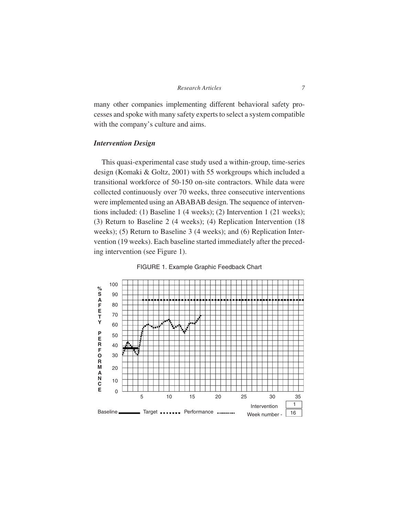many other companies implementing different behavioral safety processes and spoke with many safety experts to select a system compatible with the company's culture and aims.

# *Intervention Design*

This quasi-experimental case study used a within-group, time-series design (Komaki & Goltz, 2001) with 55 workgroups which included a transitional workforce of 50-150 on-site contractors. While data were collected continuously over 70 weeks, three consecutive interventions were implemented using an ABABAB design. The sequence of interventions included: (1) Baseline 1 (4 weeks); (2) Intervention 1 (21 weeks); (3) Return to Baseline 2 (4 weeks); (4) Replication Intervention (18 weeks); (5) Return to Baseline 3 (4 weeks); and (6) Replication Intervention (19 weeks). Each baseline started immediately after the preceding intervention (see Figure 1).



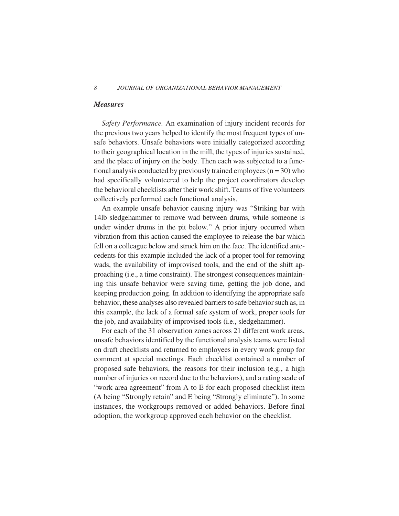#### *Measures*

*Safety Performance.* An examination of injury incident records for the previous two years helped to identify the most frequent types of unsafe behaviors. Unsafe behaviors were initially categorized according to their geographical location in the mill, the types of injuries sustained, and the place of injury on the body. Then each was subjected to a functional analysis conducted by previously trained employees  $(n = 30)$  who had specifically volunteered to help the project coordinators develop the behavioral checklists after their work shift. Teams of five volunteers collectively performed each functional analysis.

An example unsafe behavior causing injury was "Striking bar with 14lb sledgehammer to remove wad between drums, while someone is under winder drums in the pit below." A prior injury occurred when vibration from this action caused the employee to release the bar which fell on a colleague below and struck him on the face. The identified antecedents for this example included the lack of a proper tool for removing wads, the availability of improvised tools, and the end of the shift approaching (i.e., a time constraint). The strongest consequences maintaining this unsafe behavior were saving time, getting the job done, and keeping production going. In addition to identifying the appropriate safe behavior, these analyses also revealed barriers to safe behavior such as, in this example, the lack of a formal safe system of work, proper tools for the job, and availability of improvised tools (i.e., sledgehammer).

For each of the 31 observation zones across 21 different work areas, unsafe behaviors identified by the functional analysis teams were listed on draft checklists and returned to employees in every work group for comment at special meetings. Each checklist contained a number of proposed safe behaviors, the reasons for their inclusion (e.g., a high number of injuries on record due to the behaviors), and a rating scale of "work area agreement" from A to E for each proposed checklist item (A being "Strongly retain" and E being "Strongly eliminate"). In some instances, the workgroups removed or added behaviors. Before final adoption, the workgroup approved each behavior on the checklist.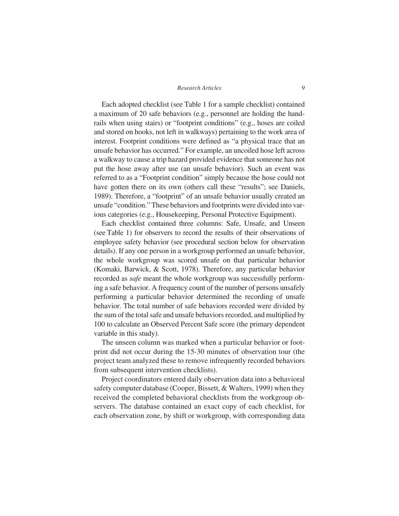Each adopted checklist (see Table 1 for a sample checklist) contained a maximum of 20 safe behaviors (e.g., personnel are holding the handrails when using stairs) or "footprint conditions" (e.g., hoses are coiled and stored on hooks, not left in walkways) pertaining to the work area of interest. Footprint conditions were defined as "a physical trace that an unsafe behavior has occurred." For example, an uncoiled hose left across a walkway to cause a trip hazard provided evidence that someone has not put the hose away after use (an unsafe behavior). Such an event was referred to as a "Footprint condition" simply because the hose could not have gotten there on its own (others call these "results"; see Daniels, 1989). Therefore, a "footprint" of an unsafe behavior usually created an unsafe "condition." These behaviors and footprints were divided into various categories (e.g., Housekeeping, Personal Protective Equipment).

Each checklist contained three columns: Safe, Unsafe, and Unseen (see Table 1) for observers to record the results of their observations of employee safety behavior (see procedural section below for observation details). If any one person in a workgroup performed an unsafe behavior, the whole workgroup was scored unsafe on that particular behavior (Komaki, Barwick, & Scott, 1978). Therefore, any particular behavior recorded as *safe* meant the whole workgroup was successfully performing a safe behavior. A frequency count of the number of persons unsafely performing a particular behavior determined the recording of unsafe behavior. The total number of safe behaviors recorded were divided by the sum of the total safe and unsafe behaviors recorded, and multiplied by 100 to calculate an Observed Percent Safe score (the primary dependent variable in this study).

The unseen column was marked when a particular behavior or footprint did not occur during the 15-30 minutes of observation tour (the project team analyzed these to remove infrequently recorded behaviors from subsequent intervention checklists).

Project coordinators entered daily observation data into a behavioral safety computer database (Cooper, Bissett, & Walters, 1999) when they received the completed behavioral checklists from the workgroup observers. The database contained an exact copy of each checklist, for each observation zone, by shift or workgroup, with corresponding data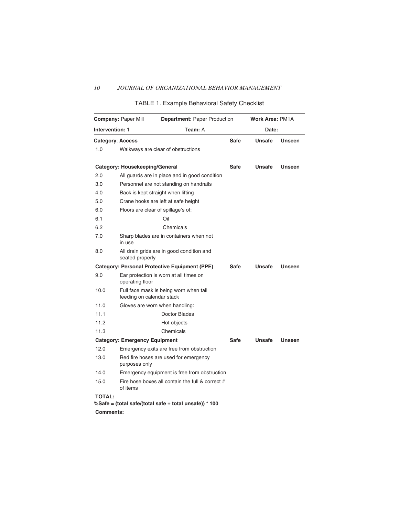# TABLE 1. Example Behavioral Safety Checklist

| <b>Company: Paper Mill</b>        |                                                                     | <b>Department: Paper Production</b> |             | <b>Work Area: PM1A</b> |               |  |
|-----------------------------------|---------------------------------------------------------------------|-------------------------------------|-------------|------------------------|---------------|--|
| Intervention: 1                   |                                                                     | Team: A                             |             | Date:                  |               |  |
| <b>Category: Access</b>           |                                                                     |                                     |             | Unsafe                 | <b>Unseen</b> |  |
| 1.0                               | Walkways are clear of obstructions                                  |                                     |             |                        |               |  |
|                                   |                                                                     |                                     |             |                        |               |  |
|                                   | <b>Category: Housekeeping/General</b>                               |                                     | Safe        | <b>Unsafe</b>          | <b>Unseen</b> |  |
| 2.0                               | All guards are in place and in good condition                       |                                     |             |                        |               |  |
| 3.0                               | Personnel are not standing on handrails                             |                                     |             |                        |               |  |
| 4.0                               | Back is kept straight when lifting                                  |                                     |             |                        |               |  |
| 5.0                               | Crane hooks are left at safe height                                 |                                     |             |                        |               |  |
| 6.0                               | Floors are clear of spillage's of:                                  |                                     |             |                        |               |  |
| 6.1                               | Oil                                                                 |                                     |             |                        |               |  |
| 6.2                               | Chemicals                                                           |                                     |             |                        |               |  |
| 7.0                               | Sharp blades are in containers when not<br>in use                   |                                     |             |                        |               |  |
| 8.0                               | All drain grids are in good condition and<br>seated properly        |                                     |             |                        |               |  |
|                                   | Category: Personal Protective Equipment (PPE)                       |                                     | <b>Safe</b> | Unsafe                 | <b>Unseen</b> |  |
| 9.0                               | Ear protection is worn at all times on<br>operating floor           |                                     |             |                        |               |  |
| 10.0                              | Full face mask is being worn when tail<br>feeding on calendar stack |                                     |             |                        |               |  |
| 11.0                              | Gloves are worn when handling:                                      |                                     |             |                        |               |  |
| 11.1                              | Doctor Blades                                                       |                                     |             |                        |               |  |
| 11.2                              | Hot objects                                                         |                                     |             |                        |               |  |
| 11.3                              | Chemicals                                                           |                                     |             |                        |               |  |
|                                   | <b>Category: Emergency Equipment</b>                                |                                     | Safe        | Unsafe                 | Unseen        |  |
| 12.0                              | Emergency exits are free from obstruction                           |                                     |             |                        |               |  |
| 13.0                              | Red fire hoses are used for emergency<br>purposes only              |                                     |             |                        |               |  |
| 14.0                              | Emergency equipment is free from obstruction                        |                                     |             |                        |               |  |
| 15.0                              | Fire hose boxes all contain the full & correct #<br>of items        |                                     |             |                        |               |  |
| <b>TOTAL:</b><br><b>Comments:</b> | %Safe = (total safe/(total safe + total unsafe)) * 100              |                                     |             |                        |               |  |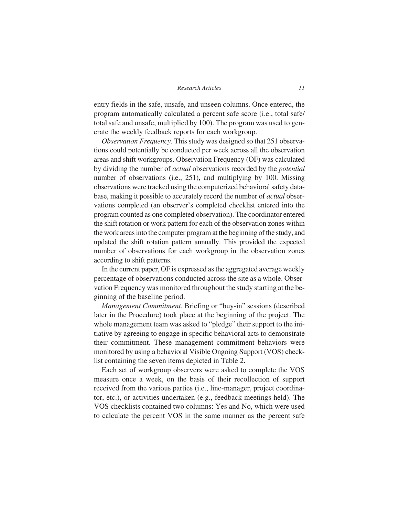entry fields in the safe, unsafe, and unseen columns. Once entered, the program automatically calculated a percent safe score (i.e., total safe/ total safe and unsafe, multiplied by 100). The program was used to generate the weekly feedback reports for each workgroup.

*Observation Frequency*. This study was designed so that 251 observations could potentially be conducted per week across all the observation areas and shift workgroups. Observation Frequency (OF) was calculated by dividing the number of *actual* observations recorded by the *potential* number of observations (i.e., 251), and multiplying by 100. Missing observations were tracked using the computerized behavioral safety database, making it possible to accurately record the number of *actual* observations completed (an observer's completed checklist entered into the program counted as one completed observation). The coordinator entered the shift rotation or work pattern for each of the observation zones within the work areas into the computer program at the beginning of the study, and updated the shift rotation pattern annually. This provided the expected number of observations for each workgroup in the observation zones according to shift patterns.

In the current paper, OF is expressed as the aggregated average weekly percentage of observations conducted across the site as a whole. Observation Frequency was monitored throughout the study starting at the beginning of the baseline period.

*Management Commitment*. Briefing or "buy-in" sessions (described later in the Procedure) took place at the beginning of the project. The whole management team was asked to "pledge" their support to the initiative by agreeing to engage in specific behavioral acts to demonstrate their commitment. These management commitment behaviors were monitored by using a behavioral Visible Ongoing Support (VOS) checklist containing the seven items depicted in Table 2.

Each set of workgroup observers were asked to complete the VOS measure once a week, on the basis of their recollection of support received from the various parties (i.e., line-manager, project coordinator, etc.), or activities undertaken (e.g., feedback meetings held). The VOS checklists contained two columns: Yes and No, which were used to calculate the percent VOS in the same manner as the percent safe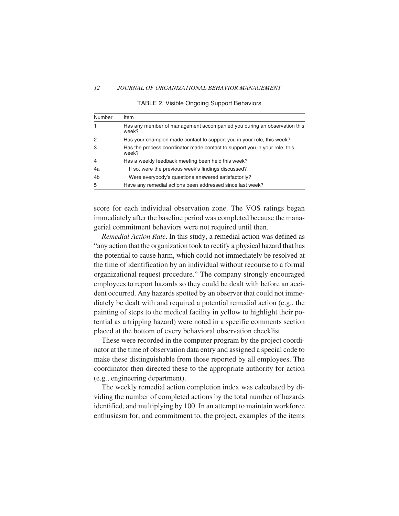|  |  | TABLE 2. Visible Ongoing Support Behaviors |  |
|--|--|--------------------------------------------|--|
|--|--|--------------------------------------------|--|

| Number | Item                                                                                |
|--------|-------------------------------------------------------------------------------------|
|        | Has any member of management accompanied you during an observation this<br>week?    |
|        | Has your champion made contact to support you in your role, this week?              |
| 3      | Has the process coordinator made contact to support you in your role, this<br>week? |
| 4      | Has a weekly feedback meeting been held this week?                                  |
| 4a     | If so, were the previous week's findings discussed?                                 |
| 4b     | Were everybody's questions answered satisfactorily?                                 |
| 5      | Have any remedial actions been addressed since last week?                           |

score for each individual observation zone. The VOS ratings began immediately after the baseline period was completed because the managerial commitment behaviors were not required until then.

*Remedial Action Rate*. In this study, a remedial action was defined as "any action that the organization took to rectify a physical hazard that has the potential to cause harm, which could not immediately be resolved at the time of identification by an individual without recourse to a formal organizational request procedure." The company strongly encouraged employees to report hazards so they could be dealt with before an accident occurred. Any hazards spotted by an observer that could not immediately be dealt with and required a potential remedial action (e.g., the painting of steps to the medical facility in yellow to highlight their potential as a tripping hazard) were noted in a specific comments section placed at the bottom of every behavioral observation checklist.

These were recorded in the computer program by the project coordinator at the time of observation data entry and assigned a special code to make these distinguishable from those reported by all employees. The coordinator then directed these to the appropriate authority for action (e.g., engineering department).

The weekly remedial action completion index was calculated by dividing the number of completed actions by the total number of hazards identified, and multiplying by 100. In an attempt to maintain workforce enthusiasm for, and commitment to, the project, examples of the items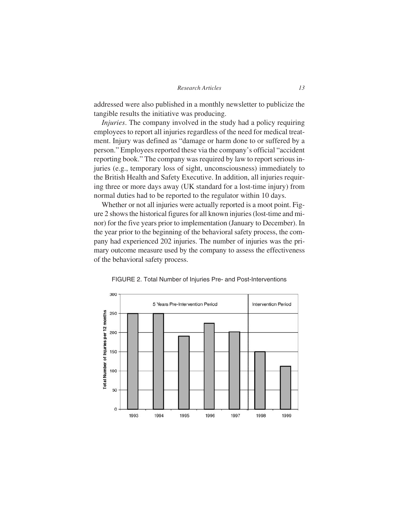addressed were also published in a monthly newsletter to publicize the tangible results the initiative was producing.

*Injuries*. The company involved in the study had a policy requiring employees to report all injuries regardless of the need for medical treatment. Injury was defined as "damage or harm done to or suffered by a person." Employees reported these via the company's official "accident reporting book." The company was required by law to report serious injuries (e.g., temporary loss of sight, unconsciousness) immediately to the British Health and Safety Executive. In addition, all injuries requiring three or more days away (UK standard for a lost-time injury) from normal duties had to be reported to the regulator within 10 days.

Whether or not all injuries were actually reported is a moot point. Figure 2 shows the historical figures for all known injuries (lost-time and minor) for the five years prior to implementation (January to December). In the year prior to the beginning of the behavioral safety process, the company had experienced 202 injuries. The number of injuries was the primary outcome measure used by the company to assess the effectiveness of the behavioral safety process.



FIGURE 2. Total Number of Injuries Pre- and Post-Interventions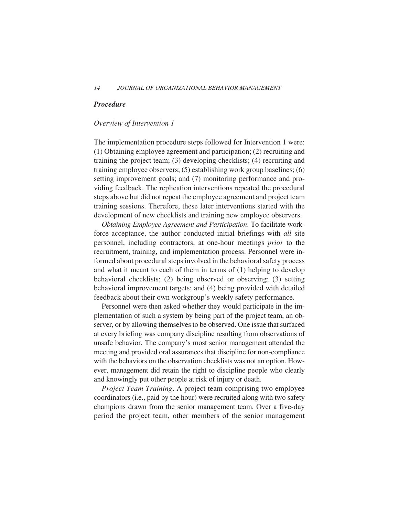# *Procedure*

#### *Overview of Intervention 1*

The implementation procedure steps followed for Intervention 1 were: (1) Obtaining employee agreement and participation; (2) recruiting and training the project team; (3) developing checklists; (4) recruiting and training employee observers; (5) establishing work group baselines; (6) setting improvement goals; and (7) monitoring performance and providing feedback. The replication interventions repeated the procedural steps above but did not repeat the employee agreement and project team training sessions. Therefore, these later interventions started with the development of new checklists and training new employee observers.

*Obtaining Employee Agreement and Participation*. To facilitate workforce acceptance, the author conducted initial briefings with *all* site personnel, including contractors, at one-hour meetings *prior* to the recruitment, training, and implementation process. Personnel were informed about procedural steps involved in the behavioral safety process and what it meant to each of them in terms of (1) helping to develop behavioral checklists; (2) being observed or observing; (3) setting behavioral improvement targets; and (4) being provided with detailed feedback about their own workgroup's weekly safety performance.

Personnel were then asked whether they would participate in the implementation of such a system by being part of the project team, an observer, or by allowing themselves to be observed. One issue that surfaced at every briefing was company discipline resulting from observations of unsafe behavior. The company's most senior management attended the meeting and provided oral assurances that discipline for non-compliance with the behaviors on the observation checklists was not an option. However, management did retain the right to discipline people who clearly and knowingly put other people at risk of injury or death.

*Project Team Training*. A project team comprising two employee coordinators (i.e., paid by the hour) were recruited along with two safety champions drawn from the senior management team. Over a five-day period the project team, other members of the senior management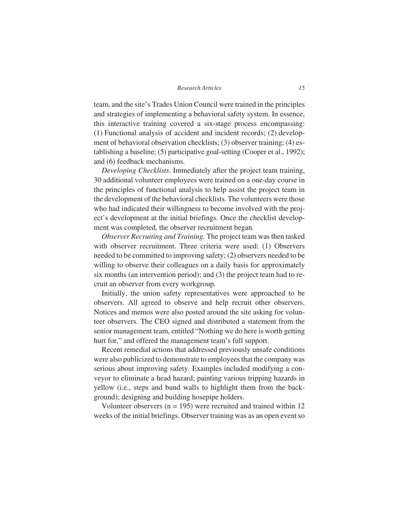team, and the site's Trades Union Council were trained in the principles and strategies of implementing a behavioral safety system. In essence, this interactive training covered a six-stage process encompassing: (1) Functional analysis of accident and incident records; (2) development of behavioral observation checklists; (3) observer training; (4) establishing a baseline; (5) participative goal-setting (Cooper et al., 1992); and (6) feedback mechanisms.

*Developing Checklists*. Immediately after the project team training, 30 additional volunteer employees were trained on a one-day course in the principles of functional analysis to help assist the project team in the development of the behavioral checklists. The volunteers were those who had indicated their willingness to become involved with the project's development at the initial briefings. Once the checklist development was completed, the observer recruitment began.

*Observer Recruiting and Training*. The project team was then tasked with observer recruitment. Three criteria were used: (1) Observers needed to be committed to improving safety; (2) observers needed to be willing to observe their colleagues on a daily basis for approximately six months (an intervention period); and (3) the project team had to recruit an observer from every workgroup.

Initially, the union safety representatives were approached to be observers. All agreed to observe and help recruit other observers. Notices and memos were also posted around the site asking for volunteer observers. The CEO signed and distributed a statement from the senior management team, entitled "Nothing we do here is worth getting hurt for," and offered the management team's full support.

Recent remedial actions that addressed previously unsafe conditions were also publicized to demonstrate to employees that the company was serious about improving safety. Examples included modifying a conveyor to eliminate a head hazard; painting various tripping hazards in yellow (i.e., steps and bund walls to highlight them from the background); designing and building hosepipe holders.

Volunteer observers ( $n = 195$ ) were recruited and trained within 12 weeks of the initial briefings. Observer training was as an open event so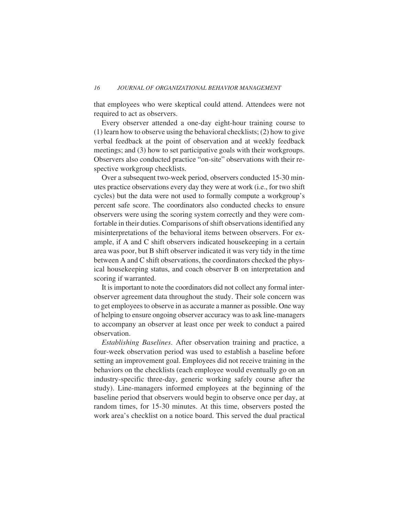that employees who were skeptical could attend. Attendees were not required to act as observers.

Every observer attended a one-day eight-hour training course to (1) learn how to observe using the behavioral checklists; (2) how to give verbal feedback at the point of observation and at weekly feedback meetings; and (3) how to set participative goals with their workgroups. Observers also conducted practice "on-site" observations with their respective workgroup checklists.

Over a subsequent two-week period, observers conducted 15-30 minutes practice observations every day they were at work (i.e., for two shift cycles) but the data were not used to formally compute a workgroup's percent safe score. The coordinators also conducted checks to ensure observers were using the scoring system correctly and they were comfortable in their duties. Comparisons of shift observations identified any misinterpretations of the behavioral items between observers. For example, if A and C shift observers indicated housekeeping in a certain area was poor, but B shift observer indicated it was very tidy in the time between A and C shift observations, the coordinators checked the physical housekeeping status, and coach observer B on interpretation and scoring if warranted.

It is important to note the coordinators did not collect any formal interobserver agreement data throughout the study. Their sole concern was to get employees to observe in as accurate a manner as possible. One way of helping to ensure ongoing observer accuracy was to ask line-managers to accompany an observer at least once per week to conduct a paired observation.

*Establishing Baselines*. After observation training and practice, a four-week observation period was used to establish a baseline before setting an improvement goal. Employees did not receive training in the behaviors on the checklists (each employee would eventually go on an industry-specific three-day, generic working safely course after the study). Line-managers informed employees at the beginning of the baseline period that observers would begin to observe once per day, at random times, for 15-30 minutes. At this time, observers posted the work area's checklist on a notice board. This served the dual practical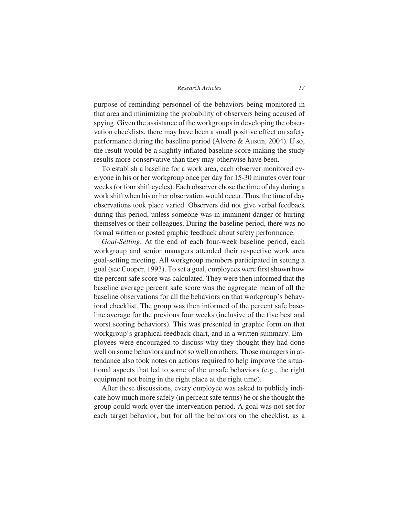purpose of reminding personnel of the behaviors being monitored in that area and minimizing the probability of observers being accused of spying. Given the assistance of the workgroups in developing the observation checklists, there may have been a small positive effect on safety performance during the baseline period (Alvero & Austin, 2004). If so, the result would be a slightly inflated baseline score making the study results more conservative than they may otherwise have been.

To establish a baseline for a work area, each observer monitored everyone in his or her workgroup once per day for 15-30 minutes over four weeks (or four shift cycles). Each observer chose the time of day during a work shift when his or her observation would occur. Thus, the time of day observations took place varied. Observers did not give verbal feedback during this period, unless someone was in imminent danger of hurting themselves or their colleagues. During the baseline period, there was no formal written or posted graphic feedback about safety performance.

*Goal-Setting*. At the end of each four-week baseline period, each workgroup and senior managers attended their respective work area goal-setting meeting. All workgroup members participated in setting a goal (see Cooper, 1993). To set a goal, employees were first shown how the percent safe score was calculated. They were then informed that the baseline average percent safe score was the aggregate mean of all the baseline observations for all the behaviors on that workgroup's behavioral checklist. The group was then informed of the percent safe baseline average for the previous four weeks (inclusive of the five best and worst scoring behaviors). This was presented in graphic form on that workgroup's graphical feedback chart, and in a written summary. Employees were encouraged to discuss why they thought they had done well on some behaviors and not so well on others. Those managers in attendance also took notes on actions required to help improve the situational aspects that led to some of the unsafe behaviors (e.g., the right equipment not being in the right place at the right time).

After these discussions, every employee was asked to publicly indicate how much more safely (in percent safe terms) he or she thought the group could work over the intervention period. A goal was not set for each target behavior, but for all the behaviors on the checklist, as a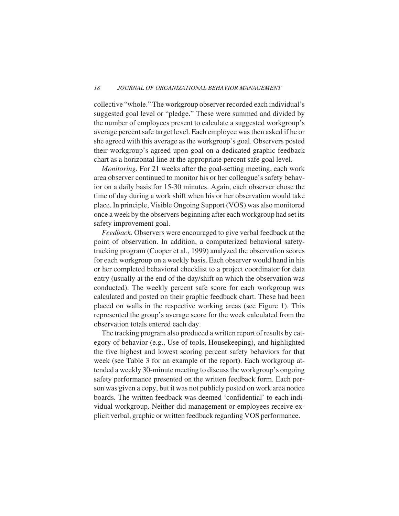collective "whole." The workgroup observer recorded each individual's suggested goal level or "pledge." These were summed and divided by the number of employees present to calculate a suggested workgroup's average percent safe target level. Each employee was then asked if he or she agreed with this average as the workgroup's goal. Observers posted their workgroup's agreed upon goal on a dedicated graphic feedback chart as a horizontal line at the appropriate percent safe goal level.

*Monitoring*. For 21 weeks after the goal-setting meeting, each work area observer continued to monitor his or her colleague's safety behavior on a daily basis for 15-30 minutes. Again, each observer chose the time of day during a work shift when his or her observation would take place. In principle, Visible Ongoing Support (VOS) was also monitored once a week by the observers beginning after each workgroup had set its safety improvement goal.

*Feedback*. Observers were encouraged to give verbal feedback at the point of observation. In addition, a computerized behavioral safetytracking program (Cooper et al., 1999) analyzed the observation scores for each workgroup on a weekly basis. Each observer would hand in his or her completed behavioral checklist to a project coordinator for data entry (usually at the end of the day/shift on which the observation was conducted). The weekly percent safe score for each workgroup was calculated and posted on their graphic feedback chart. These had been placed on walls in the respective working areas (see Figure 1). This represented the group's average score for the week calculated from the observation totals entered each day.

The tracking program also produced a written report of results by category of behavior (e.g., Use of tools, Housekeeping), and highlighted the five highest and lowest scoring percent safety behaviors for that week (see Table 3 for an example of the report). Each workgroup attended a weekly 30-minute meeting to discuss the workgroup's ongoing safety performance presented on the written feedback form. Each person was given a copy, but it was not publicly posted on work area notice boards. The written feedback was deemed 'confidential' to each individual workgroup. Neither did management or employees receive explicit verbal, graphic or written feedback regarding VOS performance.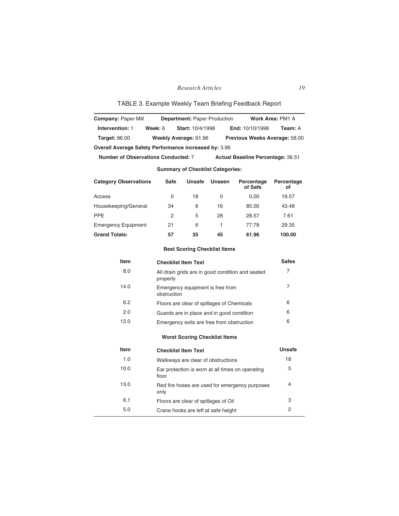# TABLE 3. Example Weekly Team Briefing Feedback Report

| <b>Company: Paper Mill</b>                                                             |         | <b>Department: Paper Production</b> |                               | Work Area: PM1 A |  |  |
|----------------------------------------------------------------------------------------|---------|-------------------------------------|-------------------------------|------------------|--|--|
| <b>Intervention: 1</b>                                                                 | Week: 6 | <b>Start: 10/4/1998</b>             | End: 10/10/1998               | Team: A          |  |  |
| <b>Target: 86.00</b>                                                                   |         | Weekly Average: 61.96               | Previous Weeks Average: 58.00 |                  |  |  |
| <b>Overall Average Safety Performance increased by: 3.96</b>                           |         |                                     |                               |                  |  |  |
| <b>Actual Baseline Percentage: 36.51</b><br><b>Number of Observations Conducted: 7</b> |         |                                     |                               |                  |  |  |

| <b>Category Observations</b> | Safe | Unsafe | <b>Unseen</b> | Percentage<br>of Safe | Percentage<br>οf |
|------------------------------|------|--------|---------------|-----------------------|------------------|
| Access                       | 0    | 18     | 0             | 0.00                  | 19.57            |
| Housekeeping/General         | 34   | 6      | 16            | 85.00                 | 43.48            |
| <b>PPE</b>                   | 2    | 5      | 28            | 28.57                 | 7.61             |
| <b>Emergency Equipment</b>   | 21   | 6      |               | 77.78                 | 29.35            |
| <b>Grand Totals:</b>         | 57   | 35     | 45            | 61.96                 | 100.00           |

# **Summary of Checklist Categories:**

# **Best Scoring Checklist Items**

| <b>Item</b>                          | <b>Checklist Item Text</b>                                   | <b>Safes</b>   |  |  |  |  |  |
|--------------------------------------|--------------------------------------------------------------|----------------|--|--|--|--|--|
| 8.0                                  | All drain grids are in good condition and seated<br>properly | 7              |  |  |  |  |  |
| 14.0                                 | Emergency equipment is free from<br>obstruction              | $\overline{7}$ |  |  |  |  |  |
| 6.2                                  | Floors are clear of spillages of Chemicals                   | 6              |  |  |  |  |  |
| 2.0                                  | Guards are in place and in good condition                    | 6              |  |  |  |  |  |
| 12.0                                 | Emergency exits are free from obstruction                    | 6              |  |  |  |  |  |
| <b>Worst Scoring Checklist Items</b> |                                                              |                |  |  |  |  |  |
|                                      |                                                              |                |  |  |  |  |  |
| <b>Item</b>                          | <b>Checklist Item Text</b>                                   | Unsafe         |  |  |  |  |  |
| 1.0                                  | Walkways are clear of obstructions                           | 18             |  |  |  |  |  |
| 10.0                                 | Ear protection is worn at all times on operating<br>floor    | 5              |  |  |  |  |  |
| 13.0                                 | Red fire hoses are used for emergency purposes<br>only       | 4              |  |  |  |  |  |
| 6.1                                  | Floors are clear of spillages of Oil                         | 3              |  |  |  |  |  |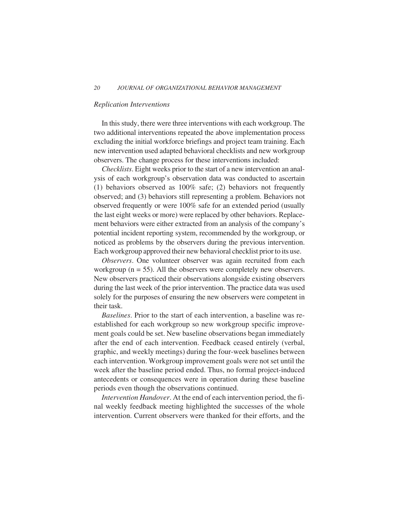#### *Replication Interventions*

In this study, there were three interventions with each workgroup. The two additional interventions repeated the above implementation process excluding the initial workforce briefings and project team training. Each new intervention used adapted behavioral checklists and new workgroup observers. The change process for these interventions included:

*Checklists*. Eight weeks prior to the start of a new intervention an analysis of each workgroup's observation data was conducted to ascertain (1) behaviors observed as 100% safe; (2) behaviors not frequently observed; and (3) behaviors still representing a problem. Behaviors not observed frequently or were 100% safe for an extended period (usually the last eight weeks or more) were replaced by other behaviors. Replacement behaviors were either extracted from an analysis of the company's potential incident reporting system, recommended by the workgroup, or noticed as problems by the observers during the previous intervention. Each workgroup approved their new behavioral checklist prior to its use.

*Observers*. One volunteer observer was again recruited from each workgroup ( $n = 55$ ). All the observers were completely new observers. New observers practiced their observations alongside existing observers during the last week of the prior intervention. The practice data was used solely for the purposes of ensuring the new observers were competent in their task.

*Baselines*. Prior to the start of each intervention, a baseline was reestablished for each workgroup so new workgroup specific improvement goals could be set. New baseline observations began immediately after the end of each intervention. Feedback ceased entirely (verbal, graphic, and weekly meetings) during the four-week baselines between each intervention. Workgroup improvement goals were not set until the week after the baseline period ended. Thus, no formal project-induced antecedents or consequences were in operation during these baseline periods even though the observations continued.

*Intervention Handover*. At the end of each intervention period, the final weekly feedback meeting highlighted the successes of the whole intervention. Current observers were thanked for their efforts, and the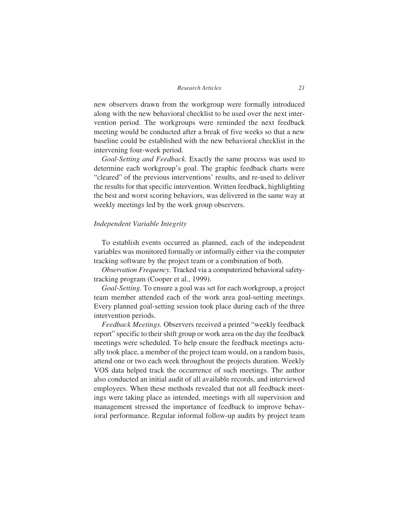new observers drawn from the workgroup were formally introduced along with the new behavioral checklist to be used over the next intervention period. The workgroups were reminded the next feedback meeting would be conducted after a break of five weeks so that a new baseline could be established with the new behavioral checklist in the intervening four-week period.

*Goal-Setting and Feedback.* Exactly the same process was used to determine each workgroup's goal. The graphic feedback charts were "cleared" of the previous interventions' results, and re-used to deliver the results for that specific intervention. Written feedback, highlighting the best and worst scoring behaviors, was delivered in the same way at weekly meetings led by the work group observers.

# *Independent Variable Integrity*

To establish events occurred as planned, each of the independent variables was monitored formally or informally either via the computer tracking software by the project team or a combination of both.

*Observation Frequency.* Tracked via a computerized behavioral safetytracking program (Cooper et al., 1999).

*Goal-Setting.* To ensure a goal was set for each workgroup, a project team member attended each of the work area goal-setting meetings. Every planned goal-setting session took place during each of the three intervention periods.

*Feedback Meetings.* Observers received a printed "weekly feedback report" specific to their shift group or work area on the day the feedback meetings were scheduled. To help ensure the feedback meetings actually took place, a member of the project team would, on a random basis, attend one or two each week throughout the projects duration. Weekly VOS data helped track the occurrence of such meetings. The author also conducted an initial audit of all available records, and interviewed employees. When these methods revealed that not all feedback meetings were taking place as intended, meetings with all supervision and management stressed the importance of feedback to improve behavioral performance. Regular informal follow-up audits by project team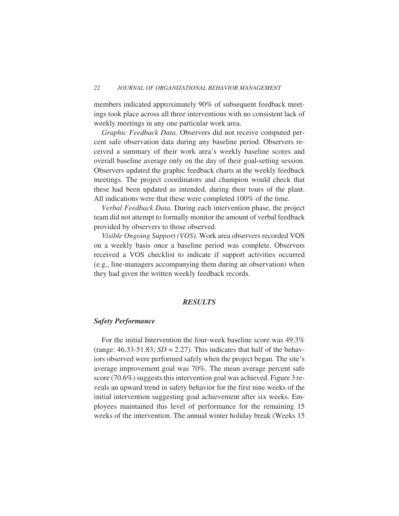members indicated approximately 90% of subsequent feedback meetings took place across all three interventions with no consistent lack of weekly meetings in any one particular work area.

*Graphic Feedback Data.* Observers did not receive computed percent safe observation data during any baseline period. Observers received a summary of their work area's weekly baseline scores and overall baseline average only on the day of their goal-setting session. Observers updated the graphic feedback charts at the weekly feedback meetings. The project coordinators and champion would check that these had been updated as intended, during their tours of the plant. All indications were that these were completed 100% of the time.

*Verbal Feedback Data.* During each intervention phase, the project team did not attempt to formally monitor the amount of verbal feedback provided by observers to those observed.

*Visible Ongoing Support (VOS).* Work area observers recorded VOS on a weekly basis once a baseline period was complete. Observers received a VOS checklist to indicate if support activities occurred (e.g., line-managers accompanying them during an observation) when they had given the written weekly feedback records.

# *RESULTS*

### *Safety Performance*

For the initial Intervention the four-week baseline score was 49.3% (range:  $46.33-51.83$ ;  $SD = 2.27$ ). This indicates that half of the behaviors observed were performed safely when the project began. The site's average improvement goal was 70%. The mean average percent safe score (70.6%) suggests this intervention goal was achieved. Figure 3 reveals an upward trend in safety behavior for the first nine weeks of the initial intervention suggesting goal achievement after six weeks. Employees maintained this level of performance for the remaining 15 weeks of the intervention. The annual winter holiday break (Weeks 15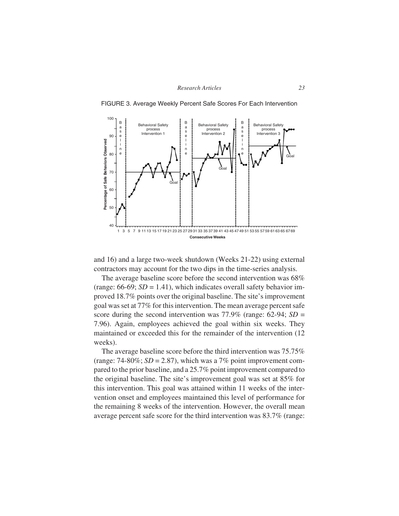

FIGURE 3. Average Weekly Percent Safe Scores For Each Intervention

and 16) and a large two-week shutdown (Weeks 21-22) using external contractors may account for the two dips in the time-series analysis.

The average baseline score before the second intervention was 68% (range:  $66-69$ ;  $SD = 1.41$ ), which indicates overall safety behavior improved 18.7% points over the original baseline. The site's improvement goal was set at 77% for this intervention. The mean average percent safe score during the second intervention was 77.9% (range: 62-94; *SD* = 7.96). Again, employees achieved the goal within six weeks. They maintained or exceeded this for the remainder of the intervention (12 weeks).

The average baseline score before the third intervention was 75.75% (range:  $74-80\%$ ;  $SD = 2.87$ ), which was a  $7\%$  point improvement compared to the prior baseline, and a 25.7% point improvement compared to the original baseline. The site's improvement goal was set at 85% for this intervention. This goal was attained within 11 weeks of the intervention onset and employees maintained this level of performance for the remaining 8 weeks of the intervention. However, the overall mean average percent safe score for the third intervention was 83.7% (range: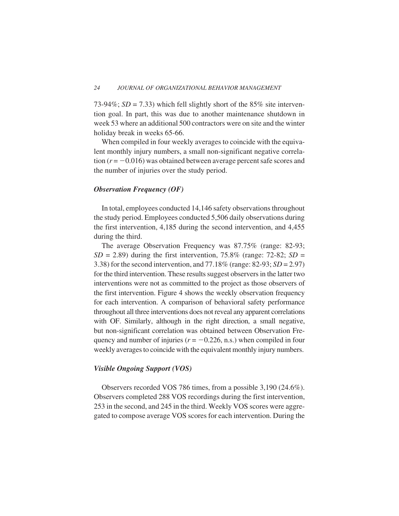73-94%;  $SD = 7.33$ ) which fell slightly short of the 85% site intervention goal. In part, this was due to another maintenance shutdown in week 53 where an additional 500 contractors were on site and the winter holiday break in weeks 65-66.

When compiled in four weekly averages to coincide with the equivalent monthly injury numbers, a small non-significant negative correlation  $(r = -0.016)$  was obtained between average percent safe scores and the number of injuries over the study period.

# *Observation Frequency (OF)*

In total, employees conducted 14,146 safety observations throughout the study period. Employees conducted 5,506 daily observations during the first intervention, 4,185 during the second intervention, and 4,455 during the third.

The average Observation Frequency was 87.75% (range: 82-93; *SD* = 2.89) during the first intervention, 75.8% (range: 72-82; *SD* = 3.38) for the second intervention, and 77.18% (range: 82-93; *SD* = 2.97) for the third intervention. These results suggest observers in the latter two interventions were not as committed to the project as those observers of the first intervention. Figure 4 shows the weekly observation frequency for each intervention. A comparison of behavioral safety performance throughout all three interventions does not reveal any apparent correlations with OF. Similarly, although in the right direction, a small negative, but non-significant correlation was obtained between Observation Frequency and number of injuries ( $r = -0.226$ , n.s.) when compiled in four weekly averages to coincide with the equivalent monthly injury numbers.

# *Visible Ongoing Support (VOS)*

Observers recorded VOS 786 times, from a possible 3,190 (24.6%). Observers completed 288 VOS recordings during the first intervention, 253 in the second, and 245 in the third. Weekly VOS scores were aggregated to compose average VOS scores for each intervention. During the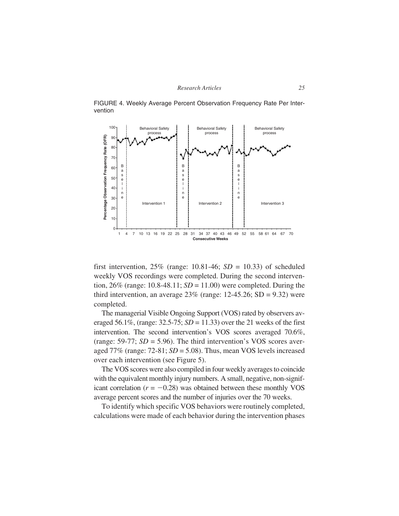

FIGURE 4. Weekly Average Percent Observation Frequency Rate Per Intervention

first intervention,  $25\%$  (range: 10.81-46;  $SD = 10.33$ ) of scheduled weekly VOS recordings were completed. During the second intervention,  $26\%$  (range:  $10.8-48.11$ ;  $SD = 11.00$ ) were completed. During the third intervention, an average  $23\%$  (range: 12-45.26; SD = 9.32) were completed.

The managerial Visible Ongoing Support (VOS) rated by observers averaged 56.1%, (range: 32.5-75; *SD* = 11.33) over the 21 weeks of the first intervention. The second intervention's VOS scores averaged 70.6%, (range:  $59-77$ ;  $SD = 5.96$ ). The third intervention's VOS scores averaged 77% (range: 72-81; *SD* = 5.08). Thus, mean VOS levels increased over each intervention (see Figure 5).

The VOS scores were also compiled in four weekly averages to coincide with the equivalent monthly injury numbers. A small, negative, non-significant correlation  $(r = -0.28)$  was obtained between these monthly VOS average percent scores and the number of injuries over the 70 weeks.

To identify which specific VOS behaviors were routinely completed, calculations were made of each behavior during the intervention phases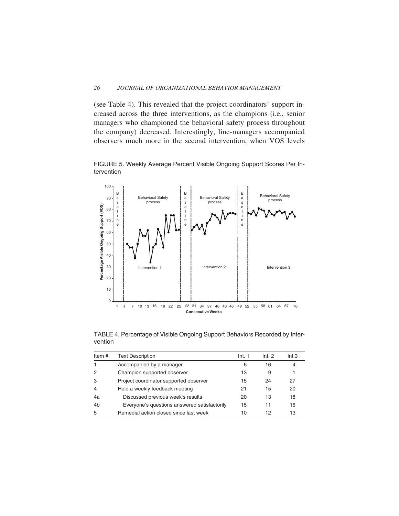(see Table 4). This revealed that the project coordinators' support increased across the three interventions, as the champions (i.e., senior managers who championed the behavioral safety process throughout the company) decreased. Interestingly, line-managers accompanied observers much more in the second intervention, when VOS levels

FIGURE 5. Weekly Average Percent Visible Ongoing Support Scores Per Intervention



TABLE 4. Percentage of Visible Ongoing Support Behaviors Recorded by Intervention

| Item $#$                 | <b>Text Description</b>                      | Int. 1 | Int. 2 | Int.3 |
|--------------------------|----------------------------------------------|--------|--------|-------|
| 1                        | Accompanied by a manager                     | 6      | 16     | 4     |
| 2                        | Champion supported observer                  | 13     | 9      |       |
| 3                        | Project coordinator supported observer       | 15     | 24     | 27    |
| $\overline{\mathcal{L}}$ | Held a weekly feedback meeting               | 21     | 15     | 20    |
| 4a                       | Discussed previous week's results            | 20     | 13     | 18    |
| 4 <sub>b</sub>           | Everyone's questions answered satisfactorily | 15     | 11     | 16    |
| 5                        | Remedial action closed since last week       | 10     | 12     | 13    |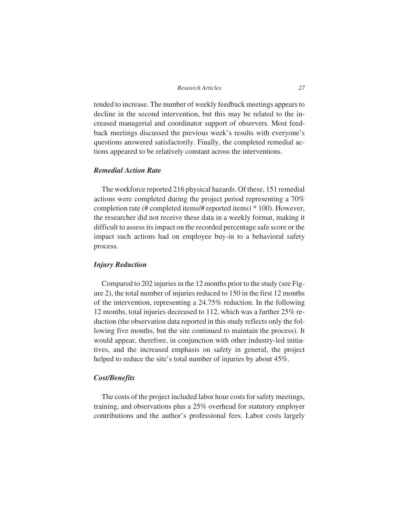tended to increase. The number of weekly feedback meetings appears to decline in the second intervention, but this may be related to the increased managerial and coordinator support of observers. Most feedback meetings discussed the previous week's results with everyone's questions answered satisfactorily. Finally, the completed remedial actions appeared to be relatively constant across the interventions.

# *Remedial Action Rate*

The workforce reported 216 physical hazards. Of these, 151 remedial actions were completed during the project period representing a 70% completion rate (# completed items/# reported items) \* 100). However, the researcher did not receive these data in a weekly format, making it difficult to assess its impact on the recorded percentage safe score or the impact such actions had on employee buy-in to a behavioral safety process.

# *Injury Reduction*

Compared to 202 injuries in the 12 months prior to the study (see Figure 2), the total number of injuries reduced to 150 in the first 12 months of the intervention, representing a 24.75% reduction. In the following 12 months, total injuries decreased to 112, which was a further 25% reduction (the observation data reported in this study reflects only the following five months, but the site continued to maintain the process). It would appear, therefore, in conjunction with other industry-led initiatives, and the increased emphasis on safety in general, the project helped to reduce the site's total number of injuries by about 45%.

# *Cost/Benefits*

The costs of the project included labor hour costs for safety meetings, training, and observations plus a 25% overhead for statutory employer contributions and the author's professional fees. Labor costs largely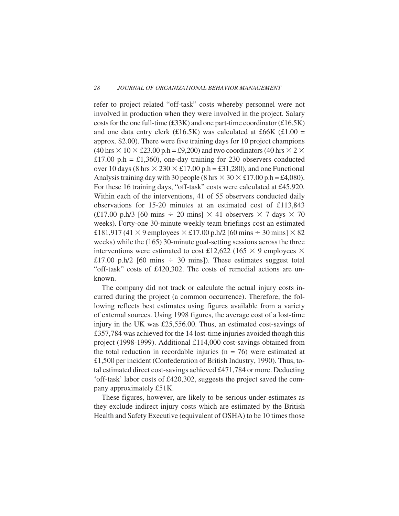refer to project related "off-task" costs whereby personnel were not involved in production when they were involved in the project. Salary costs for the one full-time  $(\text{\textsterling}33K)$  and one part-time coordinator  $(\text{\textsterling}16.5K)$ and one data entry clerk (£16.5K) was calculated at £66K (£1.00 = approx. \$2.00). There were five training days for 10 project champions (40 hrs  $\times$  10  $\times$  £23.00 p.h = £9,200) and two coordinators (40 hrs  $\times$  2  $\times$ £17.00 p.h = £1,360), one-day training for 230 observers conducted over 10 days (8 hrs  $\times$  230  $\times$  £17.00 p.h = £31,280), and one Functional Analysis training day with 30 people (8 hrs  $\times$  30  $\times$  £17.00 p.h = £4,080). For these 16 training days, "off-task" costs were calculated at £45,920. Within each of the interventions, 41 of 55 observers conducted daily observations for 15-20 minutes at an estimated cost of £113,843  $(\text{\pounds}17.00 \text{ p.h/3} \; [\text{60 mins} \div 20 \text{ mins}] \times 41 \text{ observers} \times 7 \text{ days} \times 70$ weeks). Forty-one 30-minute weekly team briefings cost an estimated £181,917 (41  $\times$  9 employees  $\times$  £17.00 p.h/2 [60 mins  $\div$  30 mins]  $\times$  82 weeks) while the (165) 30-minute goal-setting sessions across the three interventions were estimated to cost £12,622 (165  $\times$  9 employees  $\times$ £17.00 p.h/2 [60 mins  $\div$  30 mins]). These estimates suggest total "off-task" costs of £420,302. The costs of remedial actions are unknown.

The company did not track or calculate the actual injury costs incurred during the project (a common occurrence). Therefore, the following reflects best estimates using figures available from a variety of external sources. Using 1998 figures, the average cost of a lost-time injury in the UK was £25,556.00. Thus, an estimated cost-savings of £357,784 was achieved for the 14 lost-time injuries avoided though this project (1998-1999). Additional £114,000 cost-savings obtained from the total reduction in recordable injuries ( $n = 76$ ) were estimated at £1,500 per incident (Confederation of British Industry, 1990). Thus, total estimated direct cost-savings achieved £471,784 or more. Deducting 'off-task' labor costs of £420,302, suggests the project saved the company approximately £51K.

These figures, however, are likely to be serious under-estimates as they exclude indirect injury costs which are estimated by the British Health and Safety Executive (equivalent of OSHA) to be 10 times those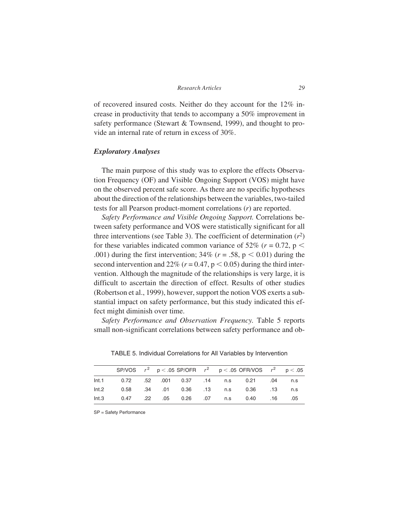of recovered insured costs. Neither do they account for the 12% increase in productivity that tends to accompany a 50% improvement in safety performance (Stewart & Townsend, 1999), and thought to provide an internal rate of return in excess of 30%.

# *Exploratory Analyses*

The main purpose of this study was to explore the effects Observation Frequency (OF) and Visible Ongoing Support (VOS) might have on the observed percent safe score. As there are no specific hypotheses about the direction of the relationships between the variables, two-tailed tests for all Pearson product-moment correlations (*r*) are reported.

*Safety Performance and Visible Ongoing Support.* Correlations between safety performance and VOS were statistically significant for all three interventions (see Table 3). The coefficient of determination  $(r^2)$ for these variables indicated common variance of 52% ( $r = 0.72$ ,  $p <$ .001) during the first intervention;  $34\%$  ( $r = .58$ ,  $p < 0.01$ ) during the second intervention and  $22\%$  ( $r = 0.47$ ,  $p < 0.05$ ) during the third intervention. Although the magnitude of the relationships is very large, it is difficult to ascertain the direction of effect. Results of other studies (Robertson et al., 1999), however, support the notion VOS exerts a substantial impact on safety performance, but this study indicated this effect might diminish over time.

*Safety Performance and Observation Frequency.* Table 5 reports small non-significant correlations between safety performance and ob-

|                                                  |  |  | SP/VOS $r^2$ p < .05 SP/OFR $r^2$ p < .05 OFR/VOS $r^2$ p < .05 |     |
|--------------------------------------------------|--|--|-----------------------------------------------------------------|-----|
| lnt.1 0.72 .52 .001 0.37 .14 n.s 0.21 .04 n.s    |  |  |                                                                 |     |
| Int.2  0.58  .34  .01  0.36  .13  n.s  0.36  .13 |  |  |                                                                 | n.s |
| lnt.3 0.47 .22 .05 0.26 .07 n.s 0.40 .16 .05     |  |  |                                                                 |     |

TABLE 5. Individual Correlations for All Variables by Intervention

SP = Safety Performance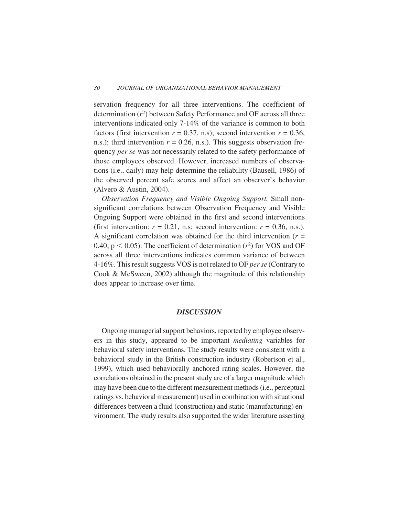servation frequency for all three interventions. The coefficient of determination (*r*2) between Safety Performance and OF across all three interventions indicated only 7-14% of the variance is common to both factors (first intervention  $r = 0.37$ , n.s); second intervention  $r = 0.36$ , n.s.); third intervention  $r = 0.26$ , n.s.). This suggests observation frequency *per se* was not necessarily related to the safety performance of those employees observed. However, increased numbers of observations (i.e., daily) may help determine the reliability (Bausell, 1986) of the observed percent safe scores and affect an observer's behavior (Alvero & Austin, 2004).

*Observation Frequency and Visible Ongoing Support.* Small nonsignificant correlations between Observation Frequency and Visible Ongoing Support were obtained in the first and second interventions (first intervention:  $r = 0.21$ , n.s; second intervention:  $r = 0.36$ , n.s.). A significant correlation was obtained for the third intervention  $(r =$ 0.40;  $p < 0.05$ ). The coefficient of determination  $(r^2)$  for VOS and OF across all three interventions indicates common variance of between 4-16%. This result suggests VOS is not related to OF *per se* (Contrary to Cook & McSween, 2002) although the magnitude of this relationship does appear to increase over time.

# *DISCUSSION*

Ongoing managerial support behaviors, reported by employee observers in this study, appeared to be important *mediating* variables for behavioral safety interventions. The study results were consistent with a behavioral study in the British construction industry (Robertson et al., 1999), which used behaviorally anchored rating scales. However, the correlations obtained in the present study are of a larger magnitude which may have been due to the different measurement methods (i.e., perceptual ratings vs. behavioral measurement) used in combination with situational differences between a fluid (construction) and static (manufacturing) environment. The study results also supported the wider literature asserting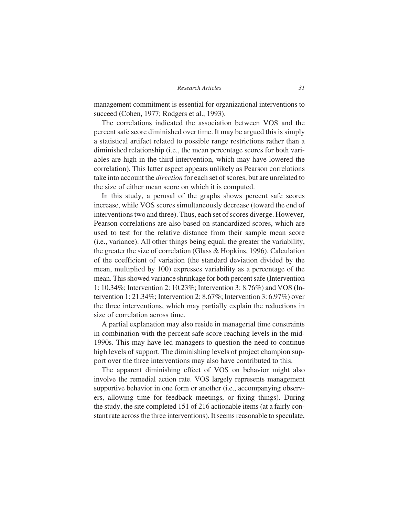management commitment is essential for organizational interventions to succeed (Cohen, 1977; Rodgers et al., 1993).

The correlations indicated the association between VOS and the percent safe score diminished over time. It may be argued this is simply a statistical artifact related to possible range restrictions rather than a diminished relationship (i.e., the mean percentage scores for both variables are high in the third intervention, which may have lowered the correlation). This latter aspect appears unlikely as Pearson correlations take into account the *direction* for each set of scores, but are unrelated to the size of either mean score on which it is computed.

In this study, a perusal of the graphs shows percent safe scores increase, while VOS scores simultaneously decrease (toward the end of interventions two and three). Thus, each set of scores diverge. However, Pearson correlations are also based on standardized scores, which are used to test for the relative distance from their sample mean score (i.e., variance). All other things being equal, the greater the variability, the greater the size of correlation (Glass & Hopkins, 1996). Calculation of the coefficient of variation (the standard deviation divided by the mean, multiplied by 100) expresses variability as a percentage of the mean. This showed variance shrinkage for both percent safe (Intervention 1: 10.34%; Intervention 2: 10.23%; Intervention 3: 8.76%) and VOS (Intervention 1: 21.34%; Intervention 2: 8.67%; Intervention 3: 6.97%) over the three interventions, which may partially explain the reductions in size of correlation across time.

A partial explanation may also reside in managerial time constraints in combination with the percent safe score reaching levels in the mid-1990s. This may have led managers to question the need to continue high levels of support. The diminishing levels of project champion support over the three interventions may also have contributed to this.

The apparent diminishing effect of VOS on behavior might also involve the remedial action rate. VOS largely represents management supportive behavior in one form or another (i.e., accompanying observers, allowing time for feedback meetings, or fixing things). During the study, the site completed 151 of 216 actionable items (at a fairly constant rate across the three interventions). It seems reasonable to speculate,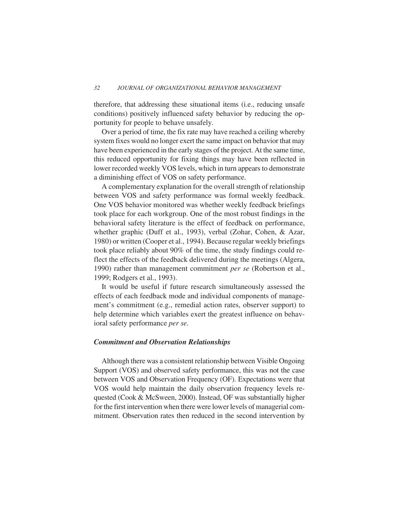therefore, that addressing these situational items (i.e., reducing unsafe conditions) positively influenced safety behavior by reducing the opportunity for people to behave unsafely.

Over a period of time, the fix rate may have reached a ceiling whereby system fixes would no longer exert the same impact on behavior that may have been experienced in the early stages of the project. At the same time, this reduced opportunity for fixing things may have been reflected in lower recorded weekly VOS levels, which in turn appears to demonstrate a diminishing effect of VOS on safety performance.

A complementary explanation for the overall strength of relationship between VOS and safety performance was formal weekly feedback. One VOS behavior monitored was whether weekly feedback briefings took place for each workgroup. One of the most robust findings in the behavioral safety literature is the effect of feedback on performance, whether graphic (Duff et al., 1993), verbal (Zohar, Cohen, & Azar, 1980) or written (Cooper et al., 1994). Because regular weekly briefings took place reliably about 90% of the time, the study findings could reflect the effects of the feedback delivered during the meetings (Algera, 1990) rather than management commitment *per se* (Robertson et al., 1999; Rodgers et al., 1993).

It would be useful if future research simultaneously assessed the effects of each feedback mode and individual components of management's commitment (e.g., remedial action rates, observer support) to help determine which variables exert the greatest influence on behavioral safety performance *per se.*

# *Commitment and Observation Relationships*

Although there was a consistent relationship between Visible Ongoing Support (VOS) and observed safety performance, this was not the case between VOS and Observation Frequency (OF). Expectations were that VOS would help maintain the daily observation frequency levels requested (Cook & McSween, 2000). Instead, OF was substantially higher for the first intervention when there were lower levels of managerial commitment. Observation rates then reduced in the second intervention by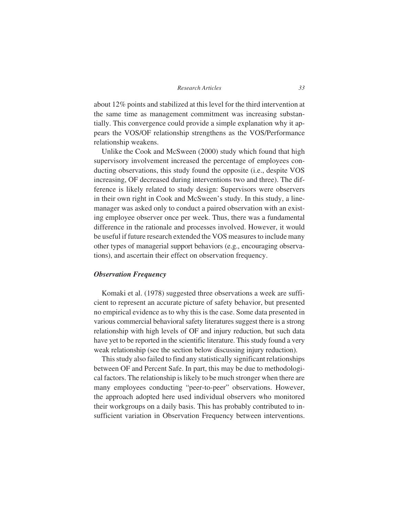about 12% points and stabilized at this level for the third intervention at the same time as management commitment was increasing substantially. This convergence could provide a simple explanation why it appears the VOS/OF relationship strengthens as the VOS/Performance relationship weakens.

Unlike the Cook and McSween (2000) study which found that high supervisory involvement increased the percentage of employees conducting observations, this study found the opposite (i.e., despite VOS increasing, OF decreased during interventions two and three). The difference is likely related to study design: Supervisors were observers in their own right in Cook and McSween's study. In this study, a linemanager was asked only to conduct a paired observation with an existing employee observer once per week. Thus, there was a fundamental difference in the rationale and processes involved. However, it would be useful if future research extended the VOS measures to include many other types of managerial support behaviors (e.g., encouraging observations), and ascertain their effect on observation frequency.

# *Observation Frequency*

Komaki et al. (1978) suggested three observations a week are sufficient to represent an accurate picture of safety behavior, but presented no empirical evidence as to why this is the case. Some data presented in various commercial behavioral safety literatures suggest there is a strong relationship with high levels of OF and injury reduction, but such data have yet to be reported in the scientific literature. This study found a very weak relationship (see the section below discussing injury reduction).

This study also failed to find any statistically significant relationships between OF and Percent Safe. In part, this may be due to methodological factors. The relationship is likely to be much stronger when there are many employees conducting "peer-to-peer" observations. However, the approach adopted here used individual observers who monitored their workgroups on a daily basis. This has probably contributed to insufficient variation in Observation Frequency between interventions.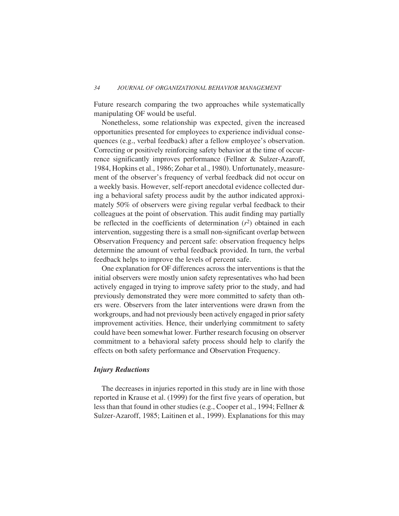Future research comparing the two approaches while systematically manipulating OF would be useful.

Nonetheless, some relationship was expected, given the increased opportunities presented for employees to experience individual consequences (e.g., verbal feedback) after a fellow employee's observation. Correcting or positively reinforcing safety behavior at the time of occurrence significantly improves performance (Fellner & Sulzer-Azaroff, 1984, Hopkins et al., 1986; Zohar et al., 1980). Unfortunately, measurement of the observer's frequency of verbal feedback did not occur on a weekly basis. However, self-report anecdotal evidence collected during a behavioral safety process audit by the author indicated approximately 50% of observers were giving regular verbal feedback to their colleagues at the point of observation. This audit finding may partially be reflected in the coefficients of determination (*r*2) obtained in each intervention, suggesting there is a small non-significant overlap between Observation Frequency and percent safe: observation frequency helps determine the amount of verbal feedback provided. In turn, the verbal feedback helps to improve the levels of percent safe.

One explanation for OF differences across the interventions is that the initial observers were mostly union safety representatives who had been actively engaged in trying to improve safety prior to the study, and had previously demonstrated they were more committed to safety than others were. Observers from the later interventions were drawn from the workgroups, and had not previously been actively engaged in prior safety improvement activities. Hence, their underlying commitment to safety could have been somewhat lower. Further research focusing on observer commitment to a behavioral safety process should help to clarify the effects on both safety performance and Observation Frequency.

# *Injury Reductions*

The decreases in injuries reported in this study are in line with those reported in Krause et al. (1999) for the first five years of operation, but less than that found in other studies (e.g., Cooper et al., 1994; Fellner & Sulzer-Azaroff, 1985; Laitinen et al., 1999). Explanations for this may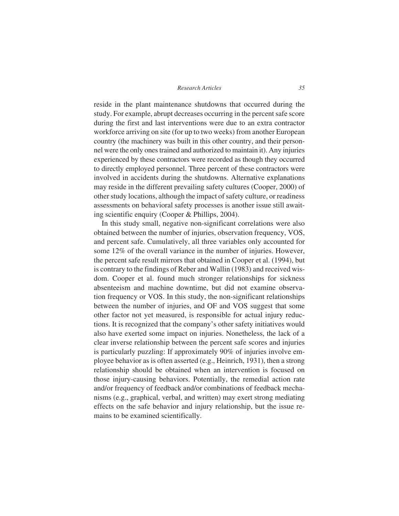reside in the plant maintenance shutdowns that occurred during the study. For example, abrupt decreases occurring in the percent safe score during the first and last interventions were due to an extra contractor workforce arriving on site (for up to two weeks) from another European country (the machinery was built in this other country, and their personnel were the only ones trained and authorized to maintain it). Any injuries experienced by these contractors were recorded as though they occurred to directly employed personnel. Three percent of these contractors were involved in accidents during the shutdowns. Alternative explanations may reside in the different prevailing safety cultures (Cooper, 2000) of other study locations, although the impact of safety culture, or readiness assessments on behavioral safety processes is another issue still awaiting scientific enquiry (Cooper & Phillips, 2004).

In this study small, negative non-significant correlations were also obtained between the number of injuries, observation frequency, VOS, and percent safe. Cumulatively, all three variables only accounted for some 12% of the overall variance in the number of injuries. However, the percent safe result mirrors that obtained in Cooper et al. (1994), but is contrary to the findings of Reber and Wallin (1983) and received wisdom. Cooper et al. found much stronger relationships for sickness absenteeism and machine downtime, but did not examine observation frequency or VOS. In this study, the non-significant relationships between the number of injuries, and OF and VOS suggest that some other factor not yet measured, is responsible for actual injury reductions. It is recognized that the company's other safety initiatives would also have exerted some impact on injuries. Nonetheless, the lack of a clear inverse relationship between the percent safe scores and injuries is particularly puzzling: If approximately 90% of injuries involve employee behavior as is often asserted (e.g., Heinrich, 1931), then a strong relationship should be obtained when an intervention is focused on those injury-causing behaviors. Potentially, the remedial action rate and/or frequency of feedback and/or combinations of feedback mechanisms (e.g., graphical, verbal, and written) may exert strong mediating effects on the safe behavior and injury relationship, but the issue remains to be examined scientifically.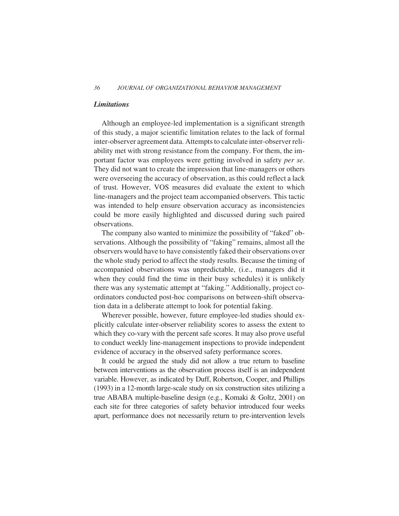# *Limitations*

Although an employee-led implementation is a significant strength of this study, a major scientific limitation relates to the lack of formal inter-observer agreement data. Attempts to calculate inter-observer reliability met with strong resistance from the company. For them, the important factor was employees were getting involved in safety *per se*. They did not want to create the impression that line-managers or others were overseeing the accuracy of observation, as this could reflect a lack of trust. However, VOS measures did evaluate the extent to which line-managers and the project team accompanied observers. This tactic was intended to help ensure observation accuracy as inconsistencies could be more easily highlighted and discussed during such paired observations.

The company also wanted to minimize the possibility of "faked" observations. Although the possibility of "faking" remains, almost all the observers would have to have consistently faked their observations over the whole study period to affect the study results. Because the timing of accompanied observations was unpredictable, (i.e., managers did it when they could find the time in their busy schedules) it is unlikely there was any systematic attempt at "faking." Additionally, project coordinators conducted post-hoc comparisons on between-shift observation data in a deliberate attempt to look for potential faking.

Wherever possible, however, future employee-led studies should explicitly calculate inter-observer reliability scores to assess the extent to which they co-vary with the percent safe scores. It may also prove useful to conduct weekly line-management inspections to provide independent evidence of accuracy in the observed safety performance scores.

It could be argued the study did not allow a true return to baseline between interventions as the observation process itself is an independent variable. However, as indicated by Duff, Robertson, Cooper, and Phillips (1993) in a 12-month large-scale study on six construction sites utilizing a true ABABA multiple-baseline design (e.g., Komaki & Goltz, 2001) on each site for three categories of safety behavior introduced four weeks apart, performance does not necessarily return to pre-intervention levels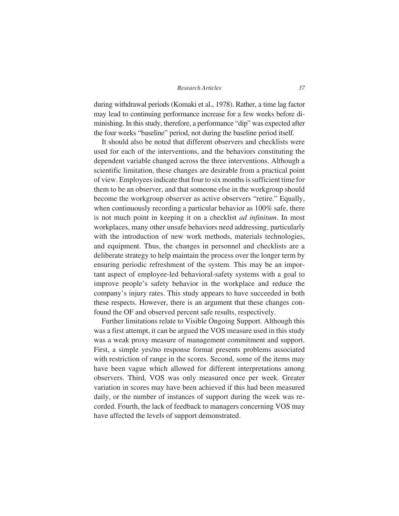during withdrawal periods (Komaki et al., 1978). Rather, a time lag factor may lead to continuing performance increase for a few weeks before diminishing. In this study, therefore, a performance "dip" was expected after the four weeks "baseline" period, not during the baseline period itself.

It should also be noted that different observers and checklists were used for each of the interventions, and the behaviors constituting the dependent variable changed across the three interventions. Although a scientific limitation, these changes are desirable from a practical point of view. Employees indicate that four to six months is sufficient time for them to be an observer, and that someone else in the workgroup should become the workgroup observer as active observers "retire." Equally, when continuously recording a particular behavior as 100% safe, there is not much point in keeping it on a checklist *ad infinitum*. In most workplaces, many other unsafe behaviors need addressing, particularly with the introduction of new work methods, materials technologies, and equipment. Thus, the changes in personnel and checklists are a deliberate strategy to help maintain the process over the longer term by ensuring periodic refreshment of the system. This may be an important aspect of employee-led behavioral-safety systems with a goal to improve people's safety behavior in the workplace and reduce the company's injury rates. This study appears to have succeeded in both these respects. However, there is an argument that these changes confound the OF and observed percent safe results, respectively.

Further limitations relate to Visible Ongoing Support. Although this was a first attempt, it can be argued the VOS measure used in this study was a weak proxy measure of management commitment and support. First, a simple yes/no response format presents problems associated with restriction of range in the scores. Second, some of the items may have been vague which allowed for different interpretations among observers. Third, VOS was only measured once per week. Greater variation in scores may have been achieved if this had been measured daily, or the number of instances of support during the week was recorded. Fourth, the lack of feedback to managers concerning VOS may have affected the levels of support demonstrated.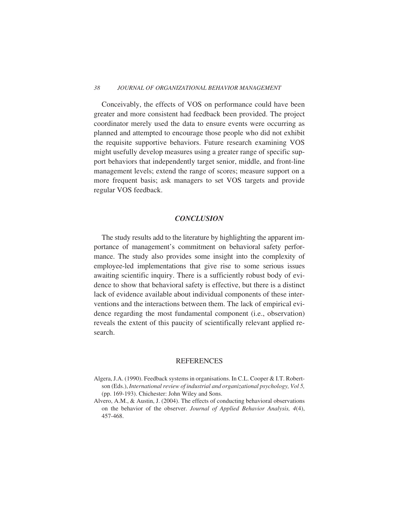Conceivably, the effects of VOS on performance could have been greater and more consistent had feedback been provided. The project coordinator merely used the data to ensure events were occurring as planned and attempted to encourage those people who did not exhibit the requisite supportive behaviors. Future research examining VOS might usefully develop measures using a greater range of specific support behaviors that independently target senior, middle, and front-line management levels; extend the range of scores; measure support on a more frequent basis; ask managers to set VOS targets and provide regular VOS feedback.

# *CONCLUSION*

The study results add to the literature by highlighting the apparent importance of management's commitment on behavioral safety performance. The study also provides some insight into the complexity of employee-led implementations that give rise to some serious issues awaiting scientific inquiry. There is a sufficiently robust body of evidence to show that behavioral safety is effective, but there is a distinct lack of evidence available about individual components of these interventions and the interactions between them. The lack of empirical evidence regarding the most fundamental component (i.e., observation) reveals the extent of this paucity of scientifically relevant applied research.

# **REFERENCES**

- Algera, J.A. (1990). Feedback systems in organisations. In C.L. Cooper & I.T. Robertson (Eds.), *International review of industrial and organizational psychology, Vol 5,* (pp. 169-193). Chichester: John Wiley and Sons.
- Alvero, A.M., & Austin, J. (2004). The effects of conducting behavioral observations on the behavior of the observer. *Journal of Applied Behavior Analysis, 4*(4), 457-468.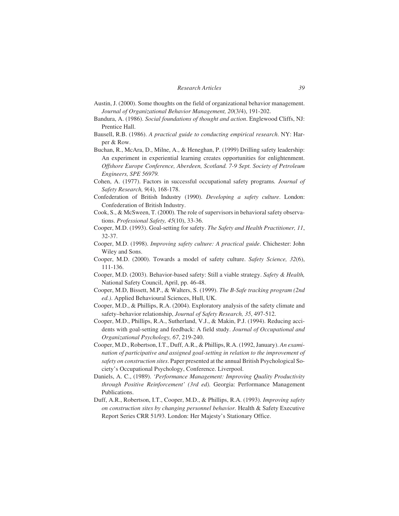| Research Articles | 39 |
|-------------------|----|
|-------------------|----|

- Austin, J. (2000). Some thoughts on the field of organizational behavior management. *Journal of Organizational Behavior Management, 20*(3/4), 191-202.
- Bandura, A. (1986). *Social foundations of thought and action*. Englewood Cliffs, NJ: Prentice Hall.
- Bausell, R.B. (1986). *A practical guide to conducting empirical research*. NY: Harper & Row.
- Buchan, R., McAra, D., Milne, A., & Heneghan, P. (1999) Drilling safety leadership: An experiment in experiential learning creates opportunities for enlightenment. *Offshore Europe Conference, Aberdeen, Scotland. 7-9 Sept. Society of Petroleum Engineers, SPE 56979.*
- Cohen, A. (1977). Factors in successful occupational safety programs*. Journal of Safety Research, 9*(4), 168-178.
- Confederation of British Industry (1990). *Developing a safety culture*. London: Confederation of British Industry.
- Cook, S., & McSween, T. (2000). The role of supervisors in behavioral safety observations. *Professional Safety, 45*(10), 33-36.
- Cooper, M.D. (1993). Goal-setting for safety. *The Safety and Health Practitioner, 11*, 32-37.
- Cooper, M.D. (1998). *Improving safety culture: A practical guide*. Chichester: John Wiley and Sons.
- Cooper, M.D. (2000). Towards a model of safety culture. *Safety Science, 32*(6), 111-136.
- Cooper, M.D. (2003). Behavior-based safety: Still a viable strategy. *Safety & Health,* National Safety Council, April, pp. 46-48.
- Cooper, M.D, Bissett, M.P., & Walters, S. (1999). *The B-Safe tracking program (2nd ed.)*. Applied Behavioural Sciences, Hull, UK.
- Cooper, M.D., & Phillips, R.A. (2004). Exploratory analysis of the safety climate and safety–behavior relationship, *Journal of Safety Research, 35*, 497-512.
- Cooper, M.D., Phillips, R.A., Sutherland, V.J., & Makin, P.J. (1994). Reducing accidents with goal-setting and feedback: A field study. *Journal of Occupational and Organizational Psychology, 67*, 219-240.
- Cooper, M.D., Robertson, I.T., Duff, A.R., & Phillips, R.A. (1992, January). *An examination of participative and assigned goal-setting in relation to the improvement of safety on construction sites*. Paper presented at the annual British Psychological Society's Occupational Psychology, Conference. Liverpool.
- Daniels, A. C., (1989). *'Performance Management: Improving Quality Productivity through Positive Reinforcement' (3rd ed).* Georgia: Performance Management Publications.
- Duff, A.R., Robertson, I.T., Cooper, M.D., & Phillips, R.A. (1993). *Improving safety on construction sites by changing personnel behavior.* Health & Safety Executive Report Series CRR 51/93. London: Her Majesty's Stationary Office.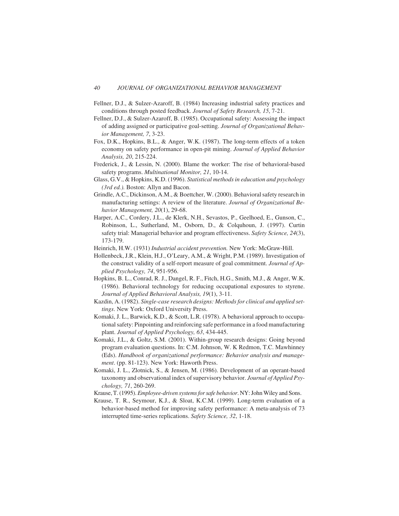- Fellner, D.J., & Sulzer-Azaroff, B. (1984) Increasing industrial safety practices and conditions through posted feedback. *Journal of Safety Research, 15*, 7-21.
- Fellner, D.J., & Sulzer-Azaroff, B. (1985). Occupational safety: Assessing the impact of adding assigned or participative goal-setting. *Journal of Organizational Behavior Management, 7*, 3-23.
- Fox, D.K., Hopkins, B.L., & Anger, W.K. (1987). The long-term effects of a token economy on safety performance in open-pit mining. *Journal of Applied Behavior Analysis, 20*, 215-224.
- Frederick, J., & Lessin, N. (2000). Blame the worker: The rise of behavioral-based safety programs. *Multinational Monitor, 21*, 10-14.
- Glass, G.V., & Hopkins, K.D. (1996). *Statistical methods in education and psychology (3rd ed.).* Boston: Allyn and Bacon.
- Grindle, A.C., Dickinson, A.M., & Boettcher, W. (2000). Behavioral safety research in manufacturing settings: A review of the literature. *Journal of Organizational Behavior Management, 20*(1), 29-68.
- Harper, A.C., Cordery, J.L., de Klerk, N.H., Sevastos, P., Geelhoed, E., Gunson, C., Robinson, L., Sutherland, M., Osborn, D., & Colquhoun, J. (1997). Curtin safety trial: Managerial behavior and program effectiveness. *Safety Science, 24*(3), 173-179.
- Heinrich, H.W. (1931) *Industrial accident prevention.* New York: McGraw-Hill.
- Hollenbeck, J.R., Klein, H.J., O'Leary, A.M., & Wright, P.M. (1989). Investigation of the construct validity of a self-report measure of goal commitment. *Journal of Applied Psychology, 74*, 951-956.
- Hopkins, B. L., Conrad, R. J., Dangel, R. F., Fitch, H.G., Smith, M.J., & Anger, W.K. (1986). Behavioral technology for reducing occupational exposures to styrene. *Journal of Applied Behavioral Analysis, 19*(1), 3-11.
- Kazdin, A. (1982). *Single-case research designs: Methods for clinical and applied settings*. New York: Oxford University Press.
- Komaki, J. L., Barwick, K.D., & Scott, L.R. (1978). A behavioral approach to occupational safety: Pinpointing and reinforcing safe performance in a food manufacturing plant. *Journal of Applied Psychology, 63*, 434-445.
- Komaki, J.L., & Goltz, S.M. (2001). Within-group research designs: Going beyond program evaluation questions. In: C.M. Johnson, W. K Redmon, T.C. Mawhinney (Eds). *Handbook of organizational performance: Behavior analysis and management*. (pp. 81-123). New York: Haworth Press.
- Komaki, J. L., Zlotnick, S., & Jensen, M. (1986). Development of an operant-based taxonomy and observational index of supervisory behavior. *Journal of Applied Psychology, 71*, 260-269.
- Krause, T. (1995).*Employee-driven systems for safe behavior*. NY: John Wiley and Sons.
- Krause, T. R., Seymour, K.J., & Sloat, K.C.M. (1999). Long-term evaluation of a behavior-based method for improving safety performance: A meta-analysis of 73 interrupted time-series replications. *Safety Science, 32*, 1-18.